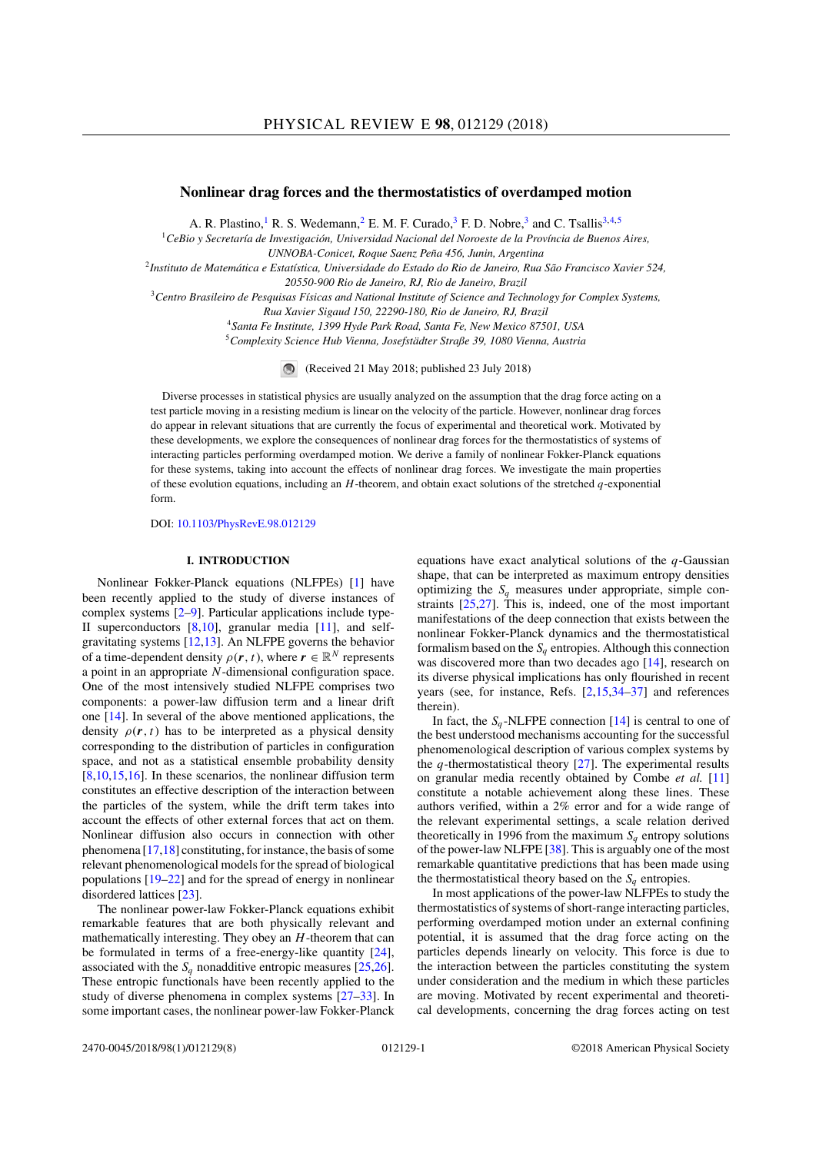# **Nonlinear drag forces and the thermostatistics of overdamped motion**

A. R. Plastino,<sup>1</sup> R. S. Wedemann,<sup>2</sup> E. M. F. Curado,<sup>3</sup> F. D. Nobre,<sup>3</sup> and C. Tsallis<sup>3,4,5</sup>

<sup>1</sup>*CeBio y Secretaría de Investigación, Universidad Nacional del Noroeste de la Província de Buenos Aires,*

*UNNOBA-Conicet, Roque Saenz Peña 456, Junin, Argentina*

<sup>2</sup>*Instituto de Matemática e Estatística, Universidade do Estado do Rio de Janeiro, Rua São Francisco Xavier 524, 20550-900 Rio de Janeiro, RJ, Rio de Janeiro, Brazil*

<sup>3</sup>*Centro Brasileiro de Pesquisas Físicas and National Institute of Science and Technology for Complex Systems,*

*Rua Xavier Sigaud 150, 22290-180, Rio de Janeiro, RJ, Brazil*

<sup>4</sup>*Santa Fe Institute, 1399 Hyde Park Road, Santa Fe, New Mexico 87501, USA*

<sup>5</sup>*Complexity Science Hub Vienna, Josefstädter Straße 39, 1080 Vienna, Austria*

(Received 21 May 2018; published 23 July 2018)

Diverse processes in statistical physics are usually analyzed on the assumption that the drag force acting on a test particle moving in a resisting medium is linear on the velocity of the particle. However, nonlinear drag forces do appear in relevant situations that are currently the focus of experimental and theoretical work. Motivated by these developments, we explore the consequences of nonlinear drag forces for the thermostatistics of systems of interacting particles performing overdamped motion. We derive a family of nonlinear Fokker-Planck equations for these systems, taking into account the effects of nonlinear drag forces. We investigate the main properties of these evolution equations, including an *H*-theorem, and obtain exact solutions of the stretched *q*-exponential form.

DOI: [10.1103/PhysRevE.98.012129](https://doi.org/10.1103/PhysRevE.98.012129)

### **I. INTRODUCTION**

Nonlinear Fokker-Planck equations (NLFPEs) [1] have been recently applied to the study of diverse instances of complex systems  $[2-9]$ . Particular applications include type-II superconductors [8,10], granular media [11], and selfgravitating systems [12,13]. An NLFPE governs the behavior of a time-dependent density  $\rho(\mathbf{r}, t)$ , where  $\mathbf{r} \in \mathbb{R}^N$  represents a point in an appropriate *N*-dimensional configuration space. One of the most intensively studied NLFPE comprises two components: a power-law diffusion term and a linear drift one [14]. In several of the above mentioned applications, the density  $\rho(r, t)$  has to be interpreted as a physical density corresponding to the distribution of particles in configuration space, and not as a statistical ensemble probability density [8,10,15,16]. In these scenarios, the nonlinear diffusion term constitutes an effective description of the interaction between the particles of the system, while the drift term takes into account the effects of other external forces that act on them. Nonlinear diffusion also occurs in connection with other phenomena [17,18] constituting, for instance, the basis of some relevant phenomenological models for the spread of biological populations  $[19-22]$  and for the spread of energy in nonlinear disordered lattices [23].

The nonlinear power-law Fokker-Planck equations exhibit remarkable features that are both physically relevant and mathematically interesting. They obey an *H*-theorem that can be formulated in terms of a free-energy-like quantity [24], associated with the  $S_a$  nonadditive entropic measures [25,26]. These entropic functionals have been recently applied to the study of diverse phenomena in complex systems  $[27-33]$ . In some important cases, the nonlinear power-law Fokker-Planck

equations have exact analytical solutions of the *q*-Gaussian shape, that can be interpreted as maximum entropy densities optimizing the  $S_q$  measures under appropriate, simple constraints [25,27]. This is, indeed, one of the most important manifestations of the deep connection that exists between the nonlinear Fokker-Planck dynamics and the thermostatistical formalism based on the  $S_q$  entropies. Although this connection was discovered more than two decades ago [14], research on its diverse physical implications has only flourished in recent years (see, for instance, Refs.  $[2,15,34-37]$  and references therein).

In fact, the  $S_q$ -NLFPE connection [14] is central to one of the best understood mechanisms accounting for the successful phenomenological description of various complex systems by the *q*-thermostatistical theory [27]. The experimental results on granular media recently obtained by Combe *et al.* [11] constitute a notable achievement along these lines. These authors verified, within a 2% error and for a wide range of the relevant experimental settings, a scale relation derived theoretically in 1996 from the maximum  $S_q$  entropy solutions of the power-law NLFPE [38]. This is arguably one of the most remarkable quantitative predictions that has been made using the thermostatistical theory based on the  $S_q$  entropies.

In most applications of the power-law NLFPEs to study the thermostatistics of systems of short-range interacting particles, performing overdamped motion under an external confining potential, it is assumed that the drag force acting on the particles depends linearly on velocity. This force is due to the interaction between the particles constituting the system under consideration and the medium in which these particles are moving. Motivated by recent experimental and theoretical developments, concerning the drag forces acting on test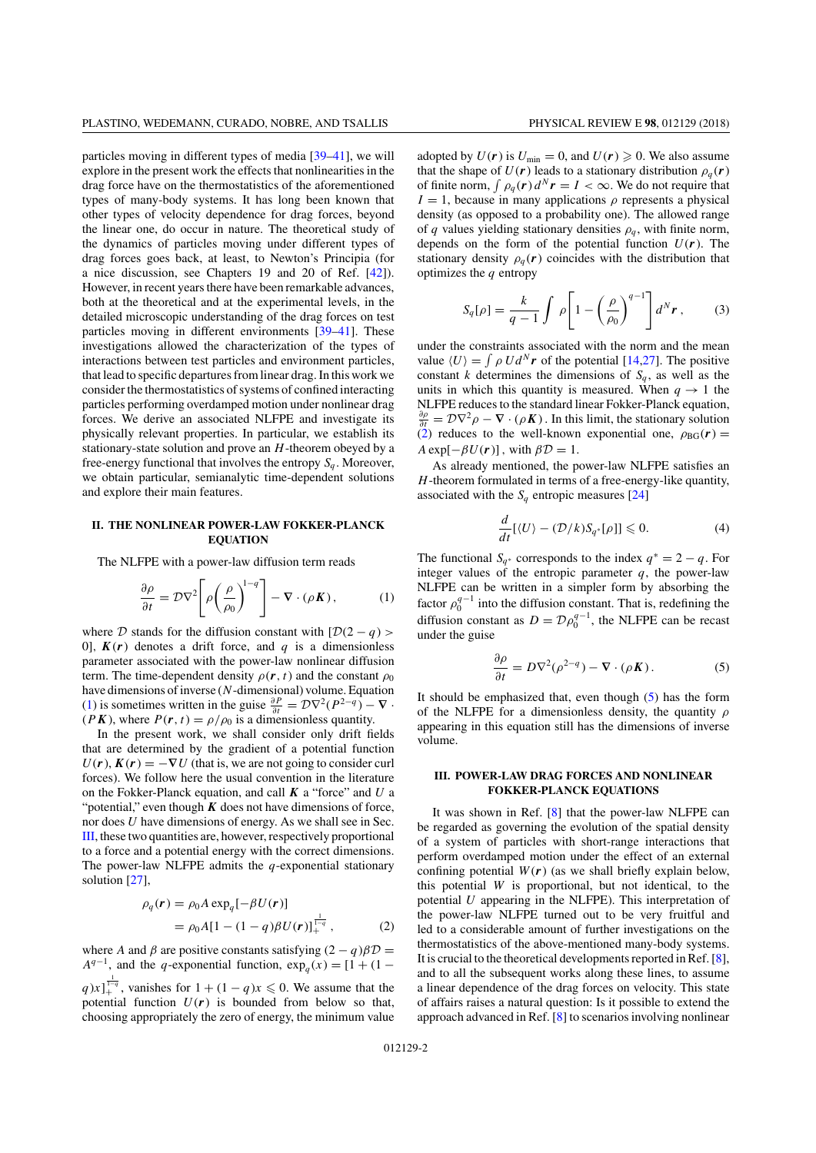particles moving in different types of media  $[39-41]$ , we will explore in the present work the effects that nonlinearities in the drag force have on the thermostatistics of the aforementioned types of many-body systems. It has long been known that other types of velocity dependence for drag forces, beyond the linear one, do occur in nature. The theoretical study of the dynamics of particles moving under different types of drag forces goes back, at least, to Newton's Principia (for a nice discussion, see Chapters 19 and 20 of Ref. [42]). However, in recent years there have been remarkable advances, both at the theoretical and at the experimental levels, in the detailed microscopic understanding of the drag forces on test particles moving in different environments  $[39-41]$ . These investigations allowed the characterization of the types of interactions between test particles and environment particles, that lead to specific departures from linear drag. In this work we consider the thermostatistics of systems of confined interacting particles performing overdamped motion under nonlinear drag forces. We derive an associated NLFPE and investigate its physically relevant properties. In particular, we establish its stationary-state solution and prove an *H*-theorem obeyed by a free-energy functional that involves the entropy  $S_a$ . Moreover, we obtain particular, semianalytic time-dependent solutions and explore their main features.

### **II. THE NONLINEAR POWER-LAW FOKKER-PLANCK EQUATION**

The NLFPE with a power-law diffusion term reads

$$
\frac{\partial \rho}{\partial t} = \mathcal{D}\nabla^2 \left[ \rho \left( \frac{\rho}{\rho_0} \right)^{1-q} \right] - \nabla \cdot (\rho \mathbf{K}), \quad (1)
$$

where *D* stands for the diffusion constant with  $[D(2 - q)$ 0],  $K(r)$  denotes a drift force, and *q* is a dimensionless parameter associated with the power-law nonlinear diffusion term. The time-dependent density  $\rho(r, t)$  and the constant  $\rho_0$ have dimensions of inverse (*N*-dimensional) volume. Equation (1) is sometimes written in the guise  $\frac{\partial P}{\partial t} = \mathcal{D}\nabla^2(P^{2-q}) - \nabla \cdot$  $(PK)$ , where  $P(r, t) = \rho/\rho_0$  is a dimensionless quantity.

In the present work, we shall consider only drift fields that are determined by the gradient of a potential function  $U(r)$ ,  $K(r) = -\nabla U$  (that is, we are not going to consider curl forces). We follow here the usual convention in the literature on the Fokker-Planck equation, and call *K* a "force" and *U* a "potential," even though  $K$  does not have dimensions of force, nor does *U* have dimensions of energy. As we shall see in Sec. III, these two quantities are, however, respectively proportional to a force and a potential energy with the correct dimensions. The power-law NLFPE admits the *q*-exponential stationary solution [27],

$$
\rho_q(\mathbf{r}) = \rho_0 A \exp_q[-\beta U(\mathbf{r})] \n= \rho_0 A [1 - (1 - q)\beta U(\mathbf{r})]_+^{\frac{1}{1-q}},
$$
\n(2)

where *A* and  $\beta$  are positive constants satisfying  $(2 - q)\beta \mathcal{D} =$  $A^{q-1}$ , and the *q*-exponential function, exp<sub>*q*</sub> (*x*) = [1 + (1 −  $q)x$ <sup> $\frac{1}{1-q}$ </sup>, vanishes for  $1 + (1-q)x \le 0$ . We assume that the potential function  $U(r)$  is bounded from below so that,

choosing appropriately the zero of energy, the minimum value

adopted by  $U(r)$  is  $U_{\text{min}} = 0$ , and  $U(r) \ge 0$ . We also assume that the shape of  $U(r)$  leads to a stationary distribution  $\rho_q(r)$ of finite norm,  $\int \rho_q(\mathbf{r}) d^N \mathbf{r} = I < \infty$ . We do not require that  $I = 1$ , because in many applications  $\rho$  represents a physical density (as opposed to a probability one). The allowed range of *q* values yielding stationary densities  $\rho_q$ , with finite norm, depends on the form of the potential function  $U(r)$ . The stationary density  $\rho_q(r)$  coincides with the distribution that optimizes the *q* entropy

$$
S_q[\rho] = \frac{k}{q-1} \int \rho \left[ 1 - \left( \frac{\rho}{\rho_0} \right)^{q-1} \right] d^N r \,, \tag{3}
$$

under the constraints associated with the norm and the mean value  $\langle U \rangle = \int \rho U d^N r$  of the potential [14,27]. The positive constant *k* determines the dimensions of  $S_q$ , as well as the units in which this quantity is measured. When  $q \to 1$  the NLFPE reduces to the standard linear Fokker-Planck equation,  $\frac{\partial \rho}{\partial t} = \mathcal{D}\nabla^2 \rho - \nabla \cdot (\rho \mathbf{K})$ . In this limit, the stationary solution (2) reduces to the well-known exponential one,  $\rho_{BG}(r)$  =  $A \exp[-\beta U(r)]$ , with  $\beta \mathcal{D} = 1$ .

As already mentioned, the power-law NLFPE satisfies an *H*-theorem formulated in terms of a free-energy-like quantity, associated with the  $S_q$  entropic measures [24]

$$
\frac{d}{dt}[\langle U \rangle - (\mathcal{D}/k)S_{q^*}[\rho]] \leq 0.
$$
\n(4)

The functional  $S_{q^*}$  corresponds to the index  $q^* = 2 - q$ . For integer values of the entropic parameter  $q$ , the power-law NLFPE can be written in a simpler form by absorbing the factor  $\rho_0^{q-1}$  into the diffusion constant. That is, redefining the diffusion constant as  $D = D\rho_0^{q-1}$ , the NLFPE can be recast under the guise

$$
\frac{\partial \rho}{\partial t} = D \nabla^2 (\rho^{2-q}) - \nabla \cdot (\rho \mathbf{K}). \tag{5}
$$

It should be emphasized that, even though (5) has the form of the NLFPE for a dimensionless density, the quantity  $\rho$ appearing in this equation still has the dimensions of inverse volume.

## **III. POWER-LAW DRAG FORCES AND NONLINEAR FOKKER-PLANCK EQUATIONS**

It was shown in Ref. [8] that the power-law NLFPE can be regarded as governing the evolution of the spatial density of a system of particles with short-range interactions that perform overdamped motion under the effect of an external confining potential  $W(r)$  (as we shall briefly explain below, this potential *W* is proportional, but not identical, to the potential *U* appearing in the NLFPE). This interpretation of the power-law NLFPE turned out to be very fruitful and led to a considerable amount of further investigations on the thermostatistics of the above-mentioned many-body systems. It is crucial to the theoretical developments reported in Ref. [8], and to all the subsequent works along these lines, to assume a linear dependence of the drag forces on velocity. This state of affairs raises a natural question: Is it possible to extend the approach advanced in Ref. [8] to scenarios involving nonlinear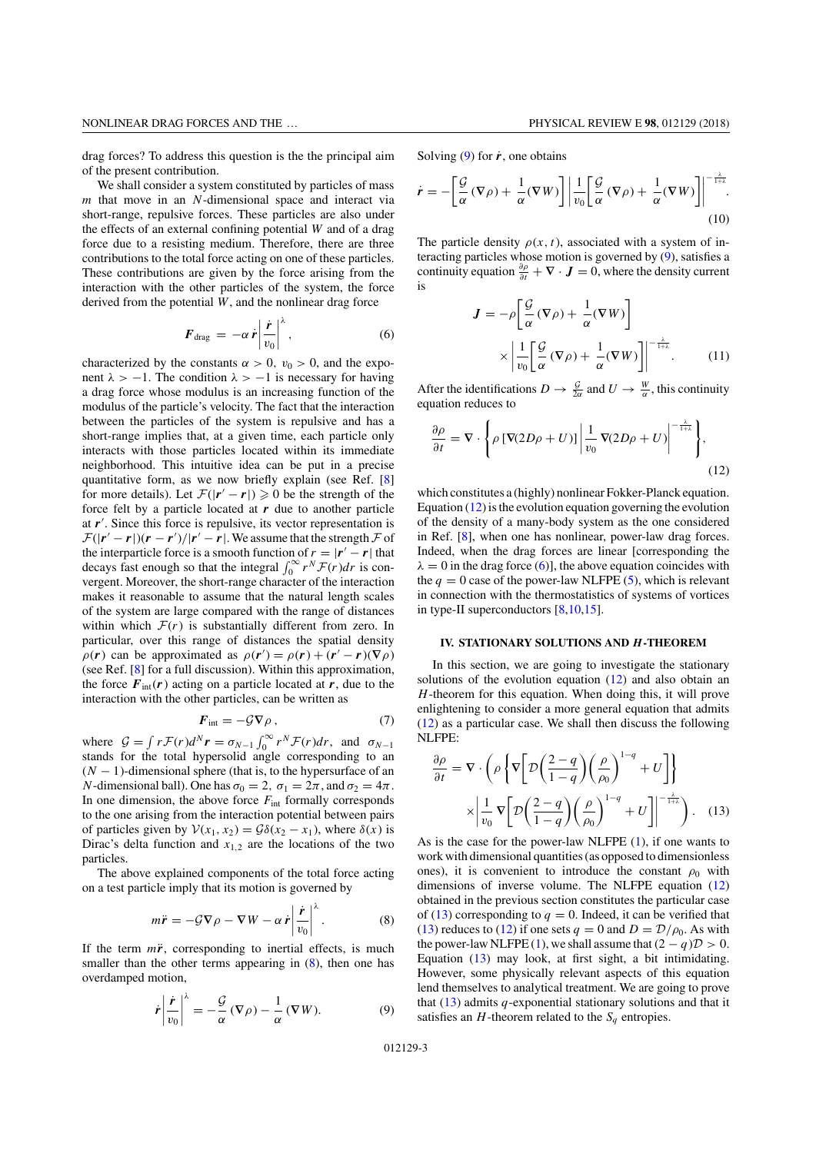drag forces? To address this question is the the principal aim of the present contribution.

We shall consider a system constituted by particles of mass *m* that move in an *N*-dimensional space and interact via short-range, repulsive forces. These particles are also under the effects of an external confining potential *W* and of a drag force due to a resisting medium. Therefore, there are three contributions to the total force acting on one of these particles. These contributions are given by the force arising from the interaction with the other particles of the system, the force derived from the potential *W*, and the nonlinear drag force

$$
F_{\rm drag} = -\alpha \dot{r} \left| \frac{\dot{r}}{v_0} \right|^{\lambda}, \qquad (6)
$$

characterized by the constants  $\alpha > 0$ ,  $v_0 > 0$ , and the exponent  $\lambda > -1$ . The condition  $\lambda > -1$  is necessary for having a drag force whose modulus is an increasing function of the modulus of the particle's velocity. The fact that the interaction between the particles of the system is repulsive and has a short-range implies that, at a given time, each particle only interacts with those particles located within its immediate neighborhood. This intuitive idea can be put in a precise quantitative form, as we now briefly explain (see Ref. [8] for more details). Let  $\mathcal{F}(|r'-r|) \geq 0$  be the strength of the force felt by a particle located at *r* due to another particle at *r*′ . Since this force is repulsive, its vector representation is  $\mathcal{F}(|r'-r|)(r-r')/|r'-r|$ . We assume that the strength  $\mathcal F$  of the interparticle force is a smooth function of  $r = |r' - r|$  that decays fast enough so that the integral  $\int_0^\infty r^N \mathcal{F}(r) dr$  is convergent. Moreover, the short-range character of the interaction makes it reasonable to assume that the natural length scales of the system are large compared with the range of distances within which  $\mathcal{F}(r)$  is substantially different from zero. In particular, over this range of distances the spatial density  $\rho(r)$  can be approximated as  $\rho(r') = \rho(r) + (r' - r)(\nabla \rho)$ (see Ref. [8] for a full discussion). Within this approximation, the force  $F_{int}(r)$  acting on a particle located at  $r$ , due to the interaction with the other particles, can be written as

$$
F_{\text{int}} = -\mathcal{G}\nabla \rho \,, \tag{7}
$$

where  $G = \int r \mathcal{F}(r) d^N r = \sigma_{N-1} \int_0^\infty r^N \mathcal{F}(r) dr$ , and  $\sigma_{N-1}$  stands for the total hypersolid angle corresponding to an (*N* − 1)-dimensional sphere (that is, to the hypersurface of an *N*-dimensional ball). One has  $\sigma_0 = 2$ ,  $\sigma_1 = 2\pi$ , and  $\sigma_2 = 4\pi$ . In one dimension, the above force *F*int formally corresponds to the one arising from the interaction potential between pairs of particles given by  $V(x_1, x_2) = G\delta(x_2 - x_1)$ , where  $\delta(x)$  is Dirac's delta function and  $x_{1,2}$  are the locations of the two particles.

The above explained components of the total force acting on a test particle imply that its motion is governed by

$$
m\ddot{\mathbf{r}} = -\mathcal{G}\nabla\rho - \nabla W - \alpha \dot{\mathbf{r}} \left| \frac{\dot{\mathbf{r}}}{v_0} \right|^{\lambda}.
$$
 (8)

If the term  $m\ddot{r}$ , corresponding to inertial effects, is much smaller than the other terms appearing in  $(8)$ , then one has overdamped motion,

$$
\dot{\boldsymbol{r}} \left| \frac{\dot{\boldsymbol{r}}}{v_0} \right|^{\lambda} = -\frac{\mathcal{G}}{\alpha} \left( \nabla \rho \right) - \frac{1}{\alpha} \left( \nabla W \right). \tag{9}
$$

Solving  $(9)$  for  $\dot{r}$ , one obtains

$$
\dot{\mathbf{r}} = -\left[\frac{\mathcal{G}}{\alpha}(\nabla \rho) + \frac{1}{\alpha}(\nabla W)\right] \left|\frac{1}{v_0}\right| \left[\frac{\mathcal{G}}{\alpha}(\nabla \rho) + \frac{1}{\alpha}(\nabla W)\right]\right|^{-\frac{\lambda}{1+\lambda}}.
$$
\n(10)

The particle density  $\rho(x, t)$ , associated with a system of interacting particles whose motion is governed by (9), satisfies a continuity equation  $\frac{\partial \rho}{\partial t} + \nabla \cdot \mathbf{J} = 0$ , where the density current is

$$
\mathbf{J} = -\rho \left[ \frac{\mathcal{G}}{\alpha} (\nabla \rho) + \frac{1}{\alpha} (\nabla W) \right]
$$

$$
\times \left| \frac{1}{v_0} \left[ \frac{\mathcal{G}}{\alpha} (\nabla \rho) + \frac{1}{\alpha} (\nabla W) \right] \right|^{-\frac{\lambda}{1+\lambda}}.
$$
(11)

After the identifications  $D \to \frac{G}{2\alpha}$  and  $U \to \frac{W}{\alpha}$ , this continuity equation reduces to

$$
\frac{\partial \rho}{\partial t} = \nabla \cdot \left\{ \rho \left[ \nabla (2D\rho + U) \right] \left| \frac{1}{v_0} \nabla (2D\rho + U) \right|^{-\frac{\lambda}{1+\lambda}} \right\},\tag{12}
$$

which constitutes a (highly) nonlinear Fokker-Planck equation. Equation  $(12)$  is the evolution equation governing the evolution of the density of a many-body system as the one considered in Ref. [8], when one has nonlinear, power-law drag forces. Indeed, when the drag forces are linear [corresponding the  $\lambda = 0$  in the drag force (6)], the above equation coincides with the  $q = 0$  case of the power-law NLFPE (5), which is relevant in connection with the thermostatistics of systems of vortices in type-II superconductors [8,10,15].

### **IV. STATIONARY SOLUTIONS AND** *H***-THEOREM**

In this section, we are going to investigate the stationary solutions of the evolution equation (12) and also obtain an *H*-theorem for this equation. When doing this, it will prove enlightening to consider a more general equation that admits (12) as a particular case. We shall then discuss the following NLFPE:

$$
\frac{\partial \rho}{\partial t} = \nabla \cdot \left( \rho \left\{ \nabla \left[ \mathcal{D} \left( \frac{2-q}{1-q} \right) \left( \frac{\rho}{\rho_0} \right)^{1-q} + U \right] \right\}
$$
\n
$$
\times \left| \frac{1}{v_0} \nabla \left[ \mathcal{D} \left( \frac{2-q}{1-q} \right) \left( \frac{\rho}{\rho_0} \right)^{1-q} + U \right] \right|^{-\frac{\lambda}{1+\lambda}} \right). \quad (13)
$$

As is the case for the power-law NLFPE (1), if one wants to work with dimensional quantities (as opposed to dimensionless ones), it is convenient to introduce the constant  $\rho_0$  with dimensions of inverse volume. The NLFPE equation (12) obtained in the previous section constitutes the particular case of (13) corresponding to  $q = 0$ . Indeed, it can be verified that (13) reduces to (12) if one sets  $q = 0$  and  $D = D/\rho_0$ . As with the power-law NLFPE (1), we shall assume that  $(2 - q)\mathcal{D} > 0$ . Equation (13) may look, at first sight, a bit intimidating. However, some physically relevant aspects of this equation lend themselves to analytical treatment. We are going to prove that (13) admits *q*-exponential stationary solutions and that it satisfies an *H*-theorem related to the  $S_q$  entropies.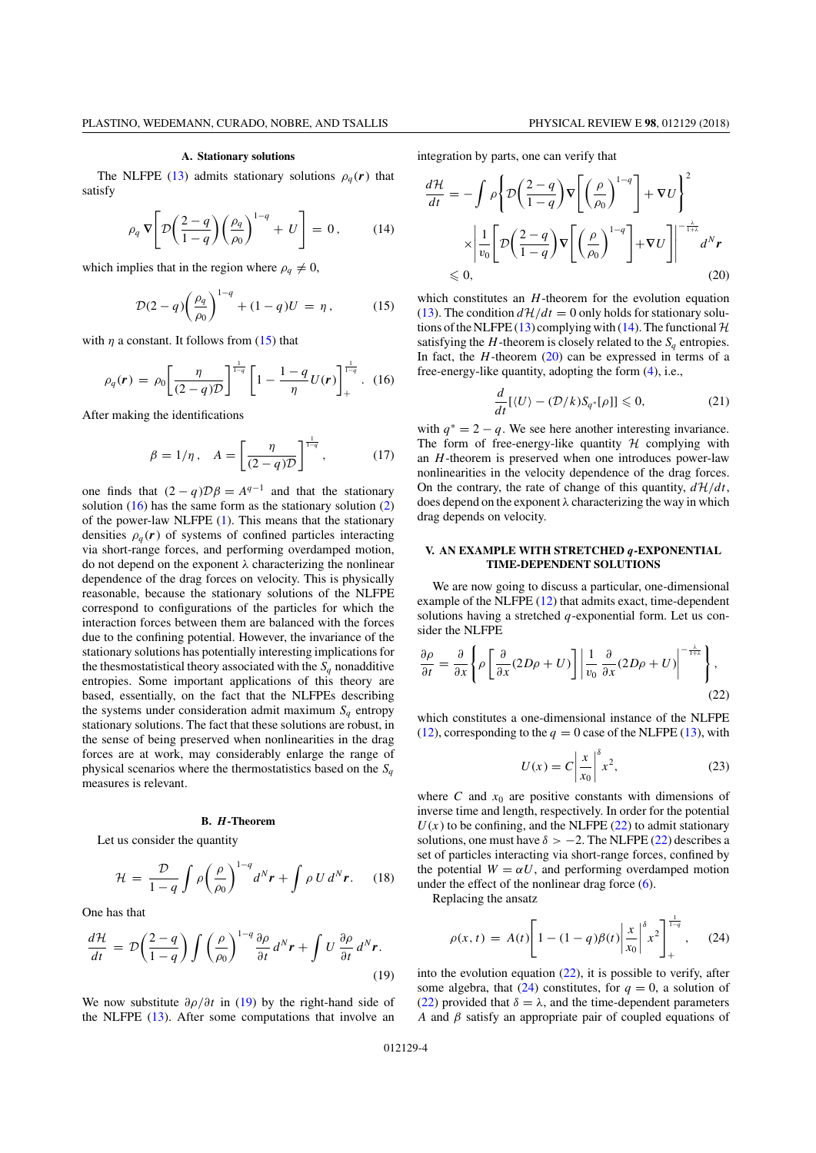#### **A. Stationary solutions**

The NLFPE (13) admits stationary solutions  $\rho_a(\mathbf{r})$  that satisfy

$$
\rho_q \nabla \left[ \mathcal{D} \left( \frac{2-q}{1-q} \right) \left( \frac{\rho_q}{\rho_0} \right)^{1-q} + U \right] = 0, \quad (14)
$$

which implies that in the region where  $\rho_q \neq 0$ ,

$$
\mathcal{D}(2-q)\left(\frac{\rho_q}{\rho_0}\right)^{1-q} + (1-q)U = \eta\,,\tag{15}
$$

with  $\eta$  a constant. It follows from (15) that

$$
\rho_q(\mathbf{r}) = \rho_0 \left[ \frac{\eta}{(2-q)\mathcal{D}} \right]^{\frac{1}{1-q}} \left[ 1 - \frac{1-q}{\eta} U(\mathbf{r}) \right]_+^{\frac{1}{1-q}}.
$$
 (16)

After making the identifications

$$
\beta = 1/\eta \,, \quad A = \left[\frac{\eta}{(2-q)\mathcal{D}}\right]^{\frac{1}{1-q}},\tag{17}
$$

one finds that  $(2 - q)\mathcal{D}\beta = A^{q-1}$  and that the stationary solution  $(16)$  has the same form as the stationary solution  $(2)$ of the power-law NLFPE (1). This means that the stationary densities  $\rho_q(\mathbf{r})$  of systems of confined particles interacting via short-range forces, and performing overdamped motion, do not depend on the exponent  $\lambda$  characterizing the nonlinear dependence of the drag forces on velocity. This is physically reasonable, because the stationary solutions of the NLFPE correspond to configurations of the particles for which the interaction forces between them are balanced with the forces due to the confining potential. However, the invariance of the stationary solutions has potentially interesting implications for the thesmostatistical theory associated with the  $S_q$  nonadditive entropies. Some important applications of this theory are based, essentially, on the fact that the NLFPEs describing the systems under consideration admit maximum  $S_q$  entropy stationary solutions. The fact that these solutions are robust, in the sense of being preserved when nonlinearities in the drag forces are at work, may considerably enlarge the range of physical scenarios where the thermostatistics based on the  $S_q$ measures is relevant.

# **B.** *H***-Theorem**

Let us consider the quantity

$$
\mathcal{H} = \frac{\mathcal{D}}{1-q} \int \rho \left(\frac{\rho}{\rho_0}\right)^{1-q} d^N \boldsymbol{r} + \int \rho U d^N \boldsymbol{r}.
$$
 (18)

One has that

$$
\frac{d\mathcal{H}}{dt} = \mathcal{D}\left(\frac{2-q}{1-q}\right) \int \left(\frac{\rho}{\rho_0}\right)^{1-q} \frac{\partial \rho}{\partial t} d^N r + \int U \frac{\partial \rho}{\partial t} d^N r. \tag{19}
$$

We now substitute  $\partial \rho / \partial t$  in (19) by the right-hand side of the NLFPE (13). After some computations that involve an integration by parts, one can verify that

$$
\frac{d\mathcal{H}}{dt} = -\int \rho \left\{ \mathcal{D} \left( \frac{2-q}{1-q} \right) \nabla \left[ \left( \frac{\rho}{\rho_0} \right)^{1-q} \right] + \nabla U \right\}^2
$$
\n
$$
\times \left| \frac{1}{v_0} \left[ \mathcal{D} \left( \frac{2-q}{1-q} \right) \nabla \left[ \left( \frac{\rho}{\rho_0} \right)^{1-q} \right] + \nabla U \right] \right|^{-\frac{\lambda}{1+\lambda}} d^N r
$$
\n
$$
\leq 0, \qquad (20)
$$

which constitutes an *H*-theorem for the evolution equation (13). The condition  $d\mathcal{H}/dt = 0$  only holds for stationary solutions of the NLFPE (13) complying with (14). The functional  $H$ satisfying the  $H$ -theorem is closely related to the  $S_q$  entropies. In fact, the *H*-theorem (20) can be expressed in terms of a free-energy-like quantity, adopting the form (4), i.e.,

$$
\frac{d}{dt}[\langle U \rangle - (\mathcal{D}/k)S_{q^*}[\rho]] \leq 0, \tag{21}
$$

with  $q^* = 2 - q$ . We see here another interesting invariance. The form of free-energy-like quantity *H* complying with an *H*-theorem is preserved when one introduces power-law nonlinearities in the velocity dependence of the drag forces. On the contrary, the rate of change of this quantity,  $d\mathcal{H}/dt$ , does depend on the exponent  $\lambda$  characterizing the way in which drag depends on velocity.

# **V. AN EXAMPLE WITH STRETCHED** *q***-EXPONENTIAL TIME-DEPENDENT SOLUTIONS**

We are now going to discuss a particular, one-dimensional example of the NLFPE (12) that admits exact, time-dependent solutions having a stretched *q*-exponential form. Let us consider the NLFPE

$$
\frac{\partial \rho}{\partial t} = \frac{\partial}{\partial x} \left\{ \rho \left[ \frac{\partial}{\partial x} (2D\rho + U) \right] \middle| \frac{1}{v_0} \frac{\partial}{\partial x} (2D\rho + U) \right|^{-\frac{\lambda}{1+\lambda}} \right\},\tag{22}
$$

which constitutes a one-dimensional instance of the NLFPE (12), corresponding to the  $q = 0$  case of the NLFPE (13), with

$$
U(x) = C \left| \frac{x}{x_0} \right|^{\delta} x^2,
$$
 (23)

where  $C$  and  $x_0$  are positive constants with dimensions of inverse time and length, respectively. In order for the potential  $U(x)$  to be confining, and the NLFPE (22) to admit stationary solutions, one must have  $\delta > -2$ . The NLFPE (22) describes a set of particles interacting via short-range forces, confined by the potential  $W = \alpha U$ , and performing overdamped motion under the effect of the nonlinear drag force  $(6)$ .

Replacing the ansatz

$$
\rho(x,t) = A(t) \left[ 1 - (1-q)\beta(t) \left| \frac{x}{x_0} \right|^{\delta} x^2 \right]_+^{\frac{1}{1-q}}, \quad (24)
$$

into the evolution equation (22), it is possible to verify, after some algebra, that  $(24)$  constitutes, for  $q = 0$ , a solution of (22) provided that  $\delta = \lambda$ , and the time-dependent parameters *A* and  $\beta$  satisfy an appropriate pair of coupled equations of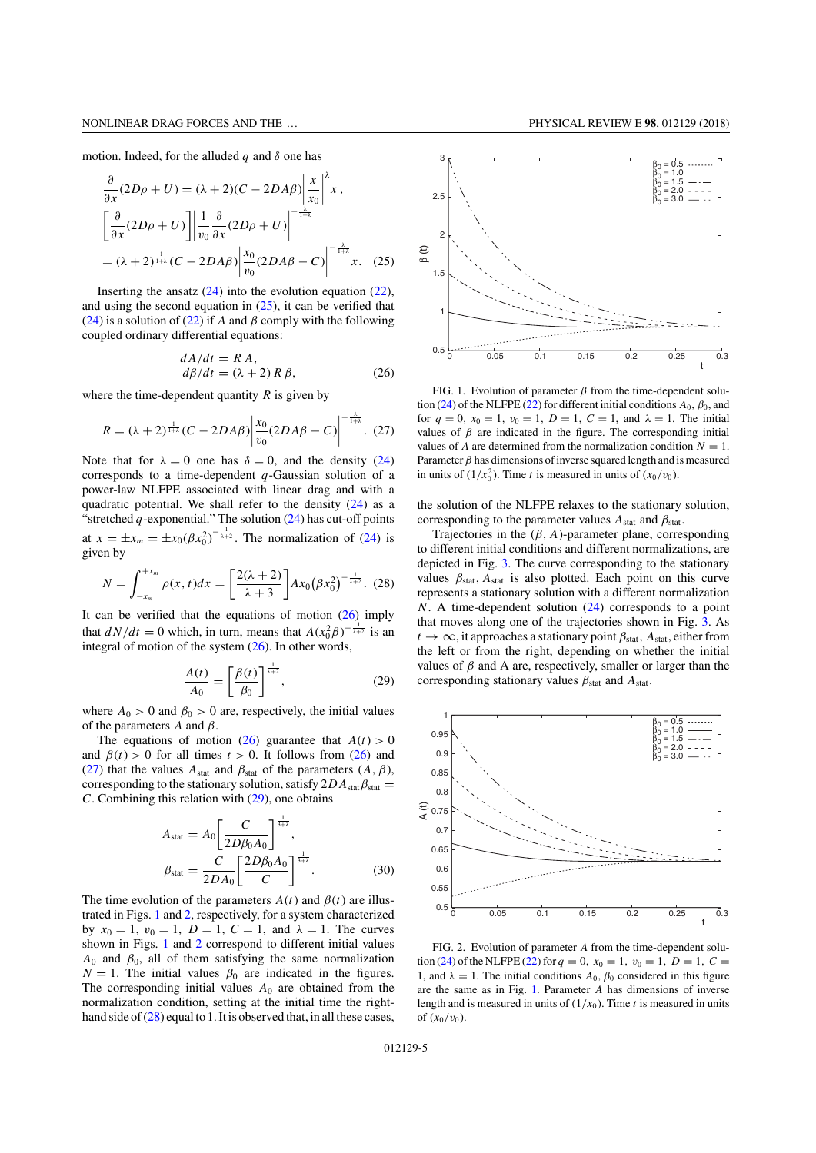motion. Indeed, for the alluded  $q$  and  $\delta$  one has

$$
\frac{\partial}{\partial x}(2D\rho + U) = (\lambda + 2)(C - 2DA\beta) \left| \frac{x}{x_0} \right|^{\lambda} x,
$$
  

$$
\left[ \frac{\partial}{\partial x}(2D\rho + U) \right] \left| \frac{1}{v_0} \frac{\partial}{\partial x}(2D\rho + U) \right|^{-\frac{\lambda}{1+\lambda}}
$$
  

$$
= (\lambda + 2)^{\frac{1}{1+\lambda}}(C - 2DA\beta) \left| \frac{x_0}{v_0}(2DA\beta - C) \right|^{-\frac{\lambda}{1+\lambda}} x.
$$
 (25)

Inserting the ansatz  $(24)$  into the evolution equation  $(22)$ , and using the second equation in  $(25)$ , it can be verified that (24) is a solution of (22) if *A* and  $\beta$  comply with the following coupled ordinary differential equations:

$$
dA/dt = R A,\nd\beta/dt = (\lambda + 2) R \beta,
$$
\n(26)

where the time-dependent quantity  $R$  is given by

$$
R = (\lambda + 2)^{\frac{1}{1+\lambda}} (C - 2D A \beta) \left| \frac{x_0}{v_0} (2D A \beta - C) \right|^{-\frac{\lambda}{1+\lambda}}.
$$
 (27)

Note that for  $\lambda = 0$  one has  $\delta = 0$ , and the density (24) corresponds to a time-dependent *q*-Gaussian solution of a power-law NLFPE associated with linear drag and with a quadratic potential. We shall refer to the density  $(24)$  as a "stretched  $q$ -exponential." The solution (24) has cut-off points at  $x = \pm x_m = \pm x_0 (\beta x_0^2)^{-\frac{1}{\lambda+2}}$ . The normalization of (24) is given by

$$
N = \int_{-x_m}^{+x_m} \rho(x, t) dx = \left[ \frac{2(\lambda + 2)}{\lambda + 3} \right] A x_0 \left( \beta x_0^2 \right)^{-\frac{1}{\lambda + 2}}. (28)
$$

It can be verified that the equations of motion  $(26)$  imply that  $dN/dt = 0$  which, in turn, means that  $A(x_0^2 \beta)^{-\frac{1}{\lambda+2}}$  is an integral of motion of the system  $(26)$ . In other words,

$$
\frac{A(t)}{A_0} = \left[\frac{\beta(t)}{\beta_0}\right]^{\frac{1}{\lambda+2}},\tag{29}
$$

where  $A_0 > 0$  and  $\beta_0 > 0$  are, respectively, the initial values of the parameters  $A$  and  $\beta$ .

The equations of motion (26) guarantee that  $A(t) > 0$ and  $\beta(t) > 0$  for all times  $t > 0$ . It follows from (26) and (27) that the values  $A_{stat}$  and  $\beta_{stat}$  of the parameters  $(A, \beta)$ , corresponding to the stationary solution, satisfy  $2DA_{stat}\beta_{stat}$ *C*. Combining this relation with (29), one obtains

$$
A_{\text{stat}} = A_0 \left[ \frac{C}{2D\beta_0 A_0} \right]^{\frac{1}{3+\lambda}}, \n\beta_{\text{stat}} = \frac{C}{2DA_0} \left[ \frac{2D\beta_0 A_0}{C} \right]^{\frac{1}{3+\lambda}}.
$$
\n(30)

The time evolution of the parameters  $A(t)$  and  $\beta(t)$  are illustrated in Figs. 1 and 2, respectively, for a system characterized by  $x_0 = 1$ ,  $v_0 = 1$ ,  $D = 1$ ,  $C = 1$ , and  $\lambda = 1$ . The curves shown in Figs. 1 and 2 correspond to different initial values  $A_0$  and  $\beta_0$ , all of them satisfying the same normalization  $N = 1$ . The initial values  $\beta_0$  are indicated in the figures. The corresponding initial values  $A_0$  are obtained from the normalization condition, setting at the initial time the righthand side of (28) equal to 1. It is observed that, in all these cases,

 $0.5\frac{L}{0}$  1 1.5 2 2.5 3 0 0.05 0.1 0.15 0.2 0.25 0.3 β (t)  $β_0 = 0.5$  $\begin{array}{l} \beta_0 = 1.0 \\ \beta_0 = 1.5 \\ \beta_0 = 2.0 \end{array}$  $β_0 = 3.0$ 

FIG. 1. Evolution of parameter  $\beta$  from the time-dependent solution (24) of the NLFPE (22) for different initial conditions  $A_0$ ,  $\beta_0$ , and for  $q = 0$ ,  $x_0 = 1$ ,  $v_0 = 1$ ,  $D = 1$ ,  $C = 1$ , and  $\lambda = 1$ . The initial values of  $\beta$  are indicated in the figure. The corresponding initial values of *A* are determined from the normalization condition  $N = 1$ . Parameter  $\beta$  has dimensions of inverse squared length and is measured in units of  $(1/x_0^2)$ . Time *t* is measured in units of  $(x_0/v_0)$ .

the solution of the NLFPE relaxes to the stationary solution, corresponding to the parameter values  $A_{stat}$  and  $\beta_{stat}$ .

Trajectories in the (β*, A*)-parameter plane, corresponding to different initial conditions and different normalizations, are depicted in Fig. 3. The curve corresponding to the stationary values  $\beta_{stat}$ ,  $A_{stat}$  is also plotted. Each point on this curve represents a stationary solution with a different normalization *N*. A time-dependent solution (24) corresponds to a point that moves along one of the trajectories shown in Fig. 3. As  $t \to \infty$ , it approaches a stationary point  $\beta_{\text{stat}}$ ,  $A_{\text{stat}}$ , either from the left or from the right, depending on whether the initial values of  $\beta$  and A are, respectively, smaller or larger than the corresponding stationary values  $\beta_{stat}$  and  $A_{stat}$ .



FIG. 2. Evolution of parameter *A* from the time-dependent solution (24) of the NLFPE (22) for  $q = 0$ ,  $x_0 = 1$ ,  $v_0 = 1$ ,  $D = 1$ ,  $C =$ 1, and  $\lambda = 1$ . The initial conditions  $A_0$ ,  $\beta_0$  considered in this figure are the same as in Fig. 1. Parameter *A* has dimensions of inverse length and is measured in units of  $(1/x_0)$ . Time *t* is measured in units of  $(x_0/v_0)$ .

t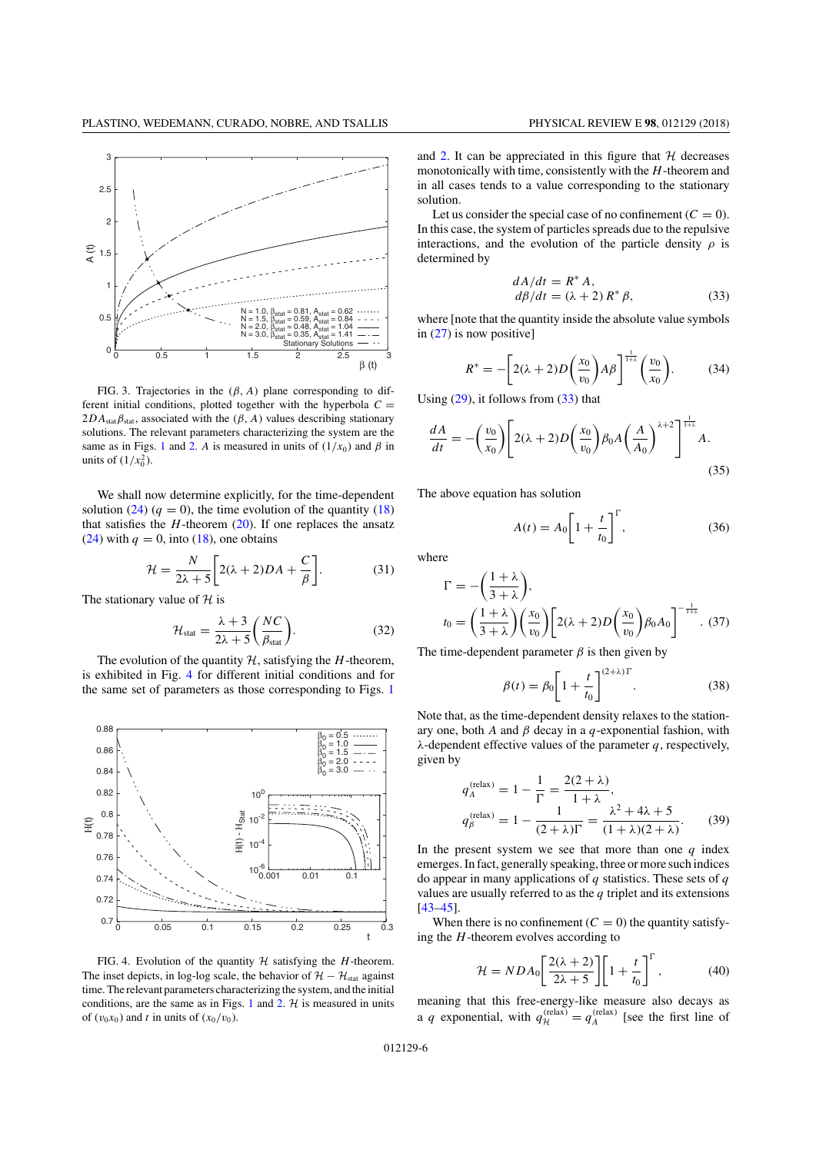

FIG. 3. Trajectories in the  $(\beta, A)$  plane corresponding to different initial conditions, plotted together with the hyperbola  $C =$  $2DA<sub>stat</sub> \beta<sub>stat</sub>$ , associated with the ( $\beta$ ,  $A$ ) values describing stationary solutions. The relevant parameters characterizing the system are the same as in Figs. 1 and 2. *A* is measured in units of  $(1/x_0)$  and  $\beta$  in units of  $(1/x_0^2)$ .

We shall now determine explicitly, for the time-dependent solution (24)  $(q = 0)$ , the time evolution of the quantity (18) that satisfies the  $H$ -theorem  $(20)$ . If one replaces the ansatz (24) with  $q = 0$ , into (18), one obtains

$$
\mathcal{H} = \frac{N}{2\lambda + 5} \bigg[ 2(\lambda + 2)DA + \frac{C}{\beta} \bigg].
$$
 (31)

The stationary value of *H* is

$$
\mathcal{H}_{\text{stat}} = \frac{\lambda + 3}{2\lambda + 5} \bigg( \frac{NC}{\beta_{\text{stat}}} \bigg). \tag{32}
$$

The evolution of the quantity *H*, satisfying the *H*-theorem, is exhibited in Fig. 4 for different initial conditions and for the same set of parameters as those corresponding to Figs. 1



FIG. 4. Evolution of the quantity  $H$  satisfying the *H*-theorem. The inset depicts, in log-log scale, the behavior of  $\mathcal{H} - \mathcal{H}_{\text{stat}}$  against time. The relevant parameters characterizing the system, and the initial conditions, are the same as in Figs. 1 and 2.  $H$  is measured in units of  $(v_0x_0)$  and *t* in units of  $(x_0/v_0)$ .

and 2. It can be appreciated in this figure that *H* decreases monotonically with time, consistently with the *H*-theorem and in all cases tends to a value corresponding to the stationary solution.

Let us consider the special case of no confinement  $(C = 0)$ . In this case, the system of particles spreads due to the repulsive interactions, and the evolution of the particle density  $\rho$  is determined by

$$
dA/dt = R^* A,
$$
  
\n
$$
d\beta/dt = (\lambda + 2) R^* \beta,
$$
\n(33)

where [note that the quantity inside the absolute value symbols in  $(27)$  is now positive]

$$
R^* = -\bigg[2(\lambda+2)D\bigg(\frac{x_0}{v_0}\bigg)A\beta\bigg]^\frac{1}{1+\lambda}\bigg(\frac{v_0}{x_0}\bigg). \tag{34}
$$

Using  $(29)$ , it follows from  $(33)$  that

$$
\frac{dA}{dt} = -\left(\frac{v_0}{x_0}\right) \left[2(\lambda + 2)D\left(\frac{x_0}{v_0}\right)\beta_0 A\left(\frac{A}{A_0}\right)^{\lambda + 2}\right]^{\frac{1}{1 + \lambda}}A.
$$
\n(35)

The above equation has solution

$$
A(t) = A_0 \left[ 1 + \frac{t}{t_0} \right]^{T}, \tag{36}
$$

where

$$
\Gamma = -\left(\frac{1+\lambda}{3+\lambda}\right),
$$
  
\n
$$
t_0 = \left(\frac{1+\lambda}{3+\lambda}\right)\left(\frac{x_0}{v_0}\right)\left[2(\lambda+2)D\left(\frac{x_0}{v_0}\right)\beta_0A_0\right]^{-\frac{1}{1+\lambda}}.
$$
 (37)

The time-dependent parameter  $\beta$  is then given by

$$
\beta(t) = \beta_0 \left[ 1 + \frac{t}{t_0} \right]^{(2+\lambda)\Gamma}.
$$
 (38)

Note that, as the time-dependent density relaxes to the stationary one, both *A* and β decay in a *q*-exponential fashion, with λ-dependent effective values of the parameter *q*, respectively, given by

$$
q_A^{\text{(relax)}} = 1 - \frac{1}{\Gamma} = \frac{2(2+\lambda)}{1+\lambda},
$$
  

$$
q_B^{\text{(relax)}} = 1 - \frac{1}{(2+\lambda)\Gamma} = \frac{\lambda^2 + 4\lambda + 5}{(1+\lambda)(2+\lambda)}.
$$
 (39)

In the present system we see that more than one  $q$  index emerges. In fact, generally speaking, three or more such indices do appear in many applications of *q* statistics. These sets of *q* values are usually referred to as the *q* triplet and its extensions  $[43 - 45]$ .

When there is no confinement  $(C = 0)$  the quantity satisfying the *H*-theorem evolves according to

$$
\mathcal{H} = NDA_0 \left[ \frac{2(\lambda + 2)}{2\lambda + 5} \right] \left[ 1 + \frac{t}{t_0} \right]^{\Gamma},\tag{40}
$$

meaning that this free-energy-like measure also decays as a *q* exponential, with  $q_{\mathcal{H}}^{(\text{relax})} = q_A^{(\text{relax})}$  [see the first line of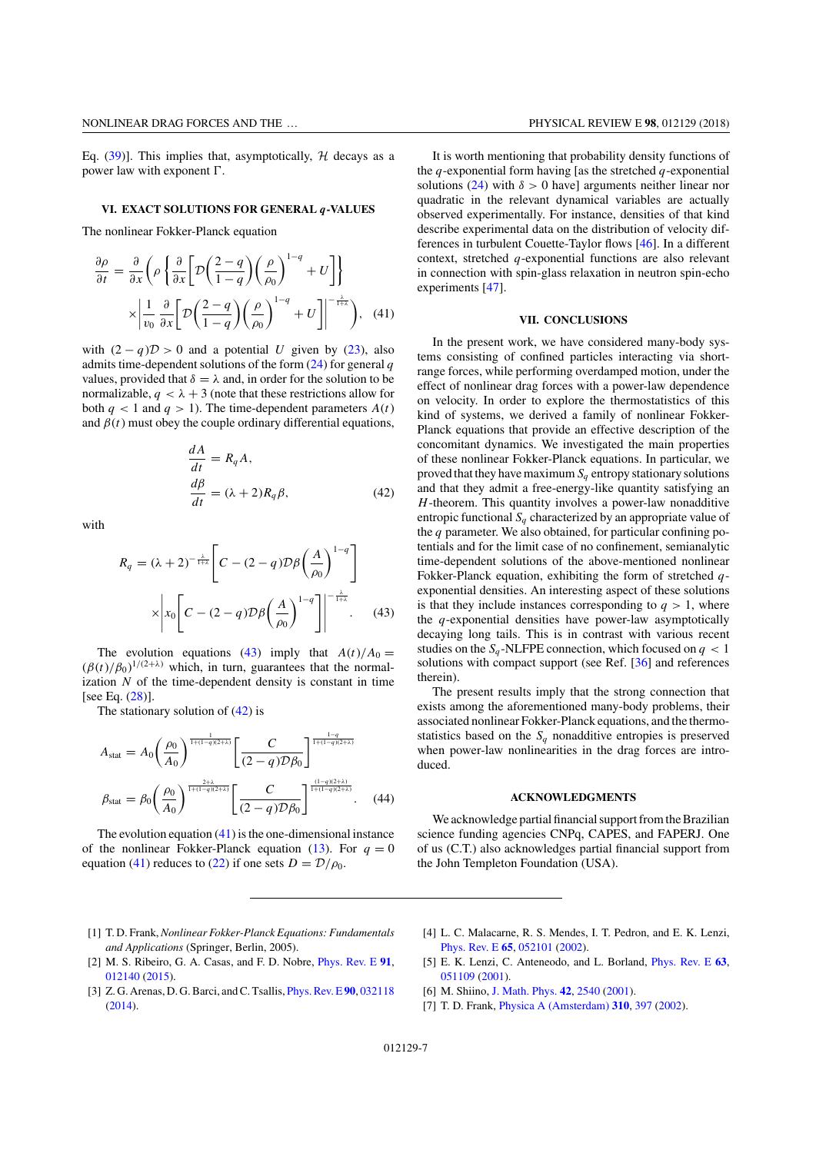Eq.  $(39)$ ]. This implies that, asymptotically, *H* decays as a power law with exponent  $\Gamma$ .

### **VI. EXACT SOLUTIONS FOR GENERAL** *q***-VALUES**

The nonlinear Fokker-Planck equation

$$
\frac{\partial \rho}{\partial t} = \frac{\partial}{\partial x} \left( \rho \left\{ \frac{\partial}{\partial x} \left[ \mathcal{D} \left( \frac{2-q}{1-q} \right) \left( \frac{\rho}{\rho_0} \right)^{1-q} + U \right] \right\}
$$

$$
\times \left| \frac{1}{v_0} \frac{\partial}{\partial x} \left[ \mathcal{D} \left( \frac{2-q}{1-q} \right) \left( \frac{\rho}{\rho_0} \right)^{1-q} + U \right] \right|^{-\frac{\lambda}{1+\lambda}}, \quad (41)
$$

with  $(2 - q)D > 0$  and a potential *U* given by (23), also admits time-dependent solutions of the form (24) for general *q* values, provided that  $\delta = \lambda$  and, in order for the solution to be normalizable,  $q < \lambda + 3$  (note that these restrictions allow for both  $q < 1$  and  $q > 1$ ). The time-dependent parameters  $A(t)$ and  $\beta(t)$  must obey the couple ordinary differential equations,

$$
\frac{dA}{dt} = R_q A,
$$
  
\n
$$
\frac{d\beta}{dt} = (\lambda + 2)R_q \beta,
$$
\n(42)

with

$$
R_q = (\lambda + 2)^{-\frac{\lambda}{1+\lambda}} \left[ C - (2-q) \mathcal{D} \beta \left( \frac{A}{\rho_0} \right)^{1-q} \right]
$$

$$
\times \left| x_0 \left[ C - (2-q) \mathcal{D} \beta \left( \frac{A}{\rho_0} \right)^{1-q} \right] \right|^{-\frac{\lambda}{1+\lambda}}.
$$
(43)

The evolution equations (43) imply that  $A(t)/A_0 =$  $(\beta(t)/\beta_0)^{1/(2+\lambda)}$  which, in turn, guarantees that the normalization  $N$  of the time-dependent density is constant in time [see Eq. (28)].

The stationary solution of  $(42)$  is

$$
A_{\text{stat}} = A_0 \left(\frac{\rho_0}{A_0}\right)^{\frac{1}{1 + (1 - q)(2 + \lambda)}} \left[\frac{C}{(2 - q)\mathcal{D}\beta_0}\right]^{\frac{1 - q}{1 + (1 - q)(2 + \lambda)}}
$$

$$
\beta_{\text{stat}} = \beta_0 \left(\frac{\rho_0}{A_0}\right)^{\frac{2 + \lambda}{1 + (1 - q)(2 + \lambda)}} \left[\frac{C}{(2 - q)\mathcal{D}\beta_0}\right]^{\frac{(1 - q)(2 + \lambda)}{1 + (1 - q)(2 + \lambda)}}.
$$
(44)

The evolution equation  $(41)$  is the one-dimensional instance of the nonlinear Fokker-Planck equation (13). For  $q = 0$ equation (41) reduces to (22) if one sets  $D = D/\rho_0$ .

It is worth mentioning that probability density functions of the *q*-exponential form having [as the stretched *q*-exponential solutions  $(24)$  with  $\delta > 0$  have] arguments neither linear nor quadratic in the relevant dynamical variables are actually observed experimentally. For instance, densities of that kind describe experimental data on the distribution of velocity differences in turbulent Couette-Taylor flows [46]. In a different context, stretched *q*-exponential functions are also relevant in connection with spin-glass relaxation in neutron spin-echo experiments [47].

### **VII. CONCLUSIONS**

In the present work, we have considered many-body systems consisting of confined particles interacting via shortrange forces, while performing overdamped motion, under the effect of nonlinear drag forces with a power-law dependence on velocity. In order to explore the thermostatistics of this kind of systems, we derived a family of nonlinear Fokker-Planck equations that provide an effective description of the concomitant dynamics. We investigated the main properties of these nonlinear Fokker-Planck equations. In particular, we proved that they have maximum  $S_q$  entropy stationary solutions and that they admit a free-energy-like quantity satisfying an *H*-theorem. This quantity involves a power-law nonadditive entropic functional  $S_q$  characterized by an appropriate value of the *q* parameter. We also obtained, for particular confining potentials and for the limit case of no confinement, semianalytic time-dependent solutions of the above-mentioned nonlinear Fokker-Planck equation, exhibiting the form of stretched *q*exponential densities. An interesting aspect of these solutions is that they include instances corresponding to  $q > 1$ , where the *q*-exponential densities have power-law asymptotically decaying long tails. This is in contrast with various recent studies on the  $S_q$ -NLFPE connection, which focused on  $q < 1$ solutions with compact support (see Ref. [36] and references therein).

The present results imply that the strong connection that exists among the aforementioned many-body problems, their associated nonlinear Fokker-Planck equations, and the thermostatistics based on the  $S_q$  nonadditive entropies is preserved when power-law nonlinearities in the drag forces are introduced.

#### **ACKNOWLEDGMENTS**

We acknowledge partial financial support from the Brazilian science funding agencies CNPq, CAPES, and FAPERJ. One of us (C.T.) also acknowledges partial financial support from the John Templeton Foundation (USA).

- [1] T. D. Frank,*Nonlinear Fokker-Planck Equations: Fundamentals and Applications* (Springer, Berlin, 2005).
- [2] M. S. Ribeiro, G. A. Casas, and F. D. Nobre, [Phys. Rev. E](https://doi.org/10.1103/PhysRevE.91.012140) **[91](https://doi.org/10.1103/PhysRevE.91.012140)**, [012140](https://doi.org/10.1103/PhysRevE.91.012140) [\(2015\)](https://doi.org/10.1103/PhysRevE.91.012140).
- [3] Z. G. Arenas, D. G. Barci, and C. Tsallis, [Phys. Rev. E](https://doi.org/10.1103/PhysRevE.90.032118)**[90](https://doi.org/10.1103/PhysRevE.90.032118)**, [032118](https://doi.org/10.1103/PhysRevE.90.032118) [\(2014\)](https://doi.org/10.1103/PhysRevE.90.032118).
- [4] L. C. Malacarne, R. S. Mendes, I. T. Pedron, and E. K. Lenzi, [Phys. Rev. E](https://doi.org/10.1103/PhysRevE.65.052101) **[65](https://doi.org/10.1103/PhysRevE.65.052101)**, [052101](https://doi.org/10.1103/PhysRevE.65.052101) [\(2002\)](https://doi.org/10.1103/PhysRevE.65.052101).
- [5] E. K. Lenzi, C. Anteneodo, and L. Borland, [Phys. Rev. E](https://doi.org/10.1103/PhysRevE.63.051109) **[63](https://doi.org/10.1103/PhysRevE.63.051109)**, [051109](https://doi.org/10.1103/PhysRevE.63.051109) [\(2001\)](https://doi.org/10.1103/PhysRevE.63.051109).
- [6] M. Shiino, [J. Math. Phys.](https://doi.org/10.1063/1.1367327) **[42](https://doi.org/10.1063/1.1367327)**, [2540](https://doi.org/10.1063/1.1367327) [\(2001\)](https://doi.org/10.1063/1.1367327).
- [7] T. D. Frank, [Physica A \(Amsterdam\)](https://doi.org/10.1016/S0378-4371(02)00821-X) **[310](https://doi.org/10.1016/S0378-4371(02)00821-X)**, [397](https://doi.org/10.1016/S0378-4371(02)00821-X) [\(2002\)](https://doi.org/10.1016/S0378-4371(02)00821-X).